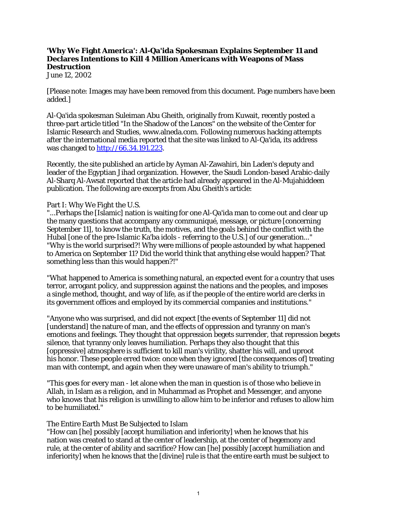## **'Why We Fight America': Al-Qa'ida Spokesman Explains September 11 and Declares Intentions to Kill 4 Million Americans with Weapons of Mass Destruction**

June 12, 2002

[Please note: Images may have been removed from this document. Page numbers have been added.]

Al-Qa'ida spokesman Suleiman Abu Gheith, originally from Kuwait, recently posted a three-part article titled "In the Shadow of the Lances" on the website of the Center for Islamic Research and Studies, www.alneda.com. Following numerous hacking attempts after the international media reported that the site was linked to Al-Qa'ida, its address was changed to [http://66.34.191.223.](http://66.34.191.223/)

Recently, the site published an article by Ayman Al-Zawahiri, bin Laden's deputy and leader of the Egyptian Jihad organization. However, the Saudi London-based Arabic-daily Al-Sharq Al-Awsat reported that the article had already appeared in the Al-Mujahiddeen publication. The following are excerpts from Abu Gheith's article:

## Part I: Why We Fight the U.S.

"...Perhaps the [Islamic] nation is waiting for one Al-Qa'ida man to come out and clear up the many questions that accompany any communiqué, message, or picture [concerning September 11], to know the truth, the motives, and the goals behind the conflict with the Hubal [one of the pre-Islamic Ka'ba idols - referring to the U.S.] of our generation..." "Why is the world surprised?! Why were millions of people astounded by what happened to America on September 11? Did the world think that anything else would happen? That something less than this would happen?!"

"What happened to America is something natural, an expected event for a country that uses terror, arrogant policy, and suppression against the nations and the peoples, and imposes a single method, thought, and way of life, as if the people of the entire world are clerks in its government offices and employed by its commercial companies and institutions."

"Anyone who was surprised, and did not expect [the events of September 11] did not [understand] the nature of man, and the effects of oppression and tyranny on man's emotions and feelings. They thought that oppression begets surrender, that repression begets silence, that tyranny only leaves humiliation. Perhaps they also thought that this [oppressive] atmosphere is sufficient to kill man's virility, shatter his will, and uproot his honor. These people erred twice: once when they ignored [the consequences of] treating man with contempt, and again when they were unaware of man's ability to triumph."

"This goes for every man - let alone when the man in question is of those who believe in Allah, in Islam as a religion, and in Muhammad as Prophet and Messenger, and anyone who knows that his religion is unwilling to allow him to be inferior and refuses to allow him to be humiliated."

## The Entire Earth Must Be Subjected to Islam

"How can [he] possibly [accept humiliation and inferiority] when he knows that his nation was created to stand at the center of leadership, at the center of hegemony and rule, at the center of ability and sacrifice? How can [he] possibly [accept humiliation and inferiority] when he knows that the [divine] rule is that the entire earth must be subject to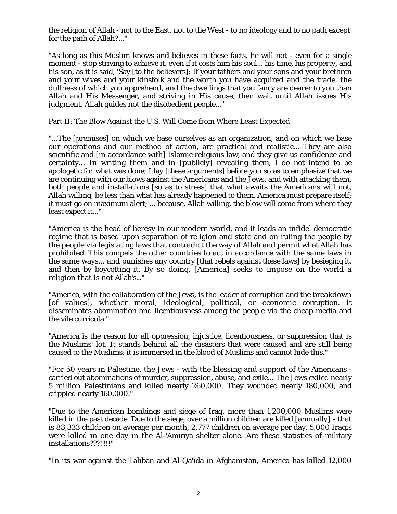the religion of Allah - not to the East, not to the West - to no ideology and to no path except for the path of Allah?..."

"As long as this Muslim knows and believes in these facts, he will not - even for a single moment - stop striving to achieve it, even if it costs him his soul... his time, his property, and his son, as it is said, 'Say [to the believers]: If your fathers and your sons and your brethren and your wives and your kinsfolk and the worth you have acquired and the trade, the dullness of which you apprehend, and the dwellings that you fancy are dearer to you than Allah and His Messenger, and striving in His cause, then wait until Allah issues His judgment. Allah guides not the disobedient people..."

Part II: The Blow Against the U.S. Will Come from Where Least Expected

"...The [premises] on which we base ourselves as an organization, and on which we base our operations and our method of action, are practical and realistic... They are also scientific and [in accordance with] Islamic religious law, and they give us confidence and certainty... In writing them and in [publicly] revealing them, I do not intend to be apologetic for what was done; I lay [these arguments] before you so as to emphasize that we are continuing with our blows against the Americans and the Jews, and with attacking them, both people and installations [so as to stress] that what awaits the Americans will not, Allah willing, be less than what has already happened to them. America must prepare itself; it must go on maximum alert; ... because, Allah willing, the blow will come from where they least expect it..."

"America is the head of heresy in our modern world, and it leads an infidel democratic regime that is based upon separation of religion and state and on ruling the people by the people via legislating laws that contradict the way of Allah and permit what Allah has prohibited. This compels the other countries to act in accordance with the same laws in the same ways... and punishes any country [that rebels against these laws] by besieging it, and then by boycotting it. By so doing, [America] seeks to impose on the world a religion that is not Allah's..."

"America, with the collaboration of the Jews, is the leader of corruption and the breakdown [of values], whether moral, ideological, political, or economic corruption. It disseminates abomination and licentiousness among the people via the cheap media and the vile curricula."

"America is the reason for all oppression, injustice, licentiousness, or suppression that is the Muslims' lot. It stands behind all the disasters that were caused and are still being caused to the Muslims; it is immersed in the blood of Muslims and cannot hide this."

"For 50 years in Palestine, the Jews - with the blessing and support of the Americans carried out abominations of murder, suppression, abuse, and exile... The Jews exiled nearly 5 million Palestinians and killed nearly 260,000. They wounded nearly 180,000, and crippled nearly 160,000."

"Due to the American bombings and siege of Iraq, more than 1,200,000 Muslims were killed in the past decade. Due to the siege, over a million children are killed [annually] - that is 83,333 children on average per month, 2,777 children on average per day. 5,000 Iraqis were killed in one day in the Al-'Amiriya shelter alone. Are these statistics of military installations???!!!!"

"In its war against the Taliban and Al-Qa'ida in Afghanistan, America has killed 12,000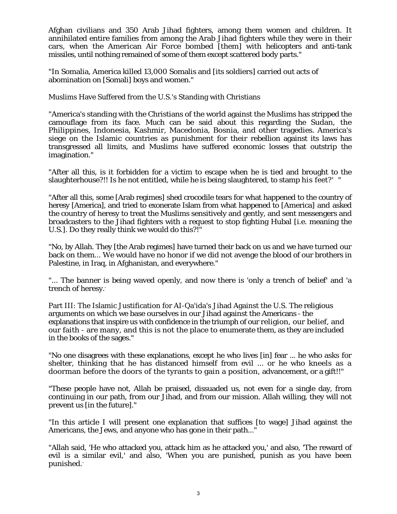Afghan civilians and 350 Arab Jihad fighters, among them women and children. It annihilated entire families from among the Arab Jihad fighters while they were in their cars, when the American Air Force bombed [them] with helicopters and anti-tank missiles, until nothing remained of some of them except scattered body parts."

"In Somalia, America killed 13,000 Somalis and [its soldiers] carried out acts of abomination on [Somali] boys and women."

Muslims Have Suffered from the U.S.'s Standing with Christians

"America's standing with the Christians of the world against the Muslims has stripped the camouflage from its face. Much can be said about this regarding the Sudan, the Philippines, Indonesia, Kashmir, Macedonia, Bosnia, and other tragedies. America's siege on the Islamic countries as punishment for their rebellion against its laws has transgressed all limits, and Muslims have suffered economic losses that outstrip the imagination."

"After all this, is it forbidden for a victim to escape when he is tied and brought to the slaughterhouse?!! Is he not entitled, while he is being slaughtered, to stamp his feet?' "

"After all this, some [Arab regimes] shed crocodile tears for what happened to the country of heresy [America], and tried to exonerate Islam from what happened to [America] and asked the country of heresy to treat the Muslims sensitively and gently, and sent messengers and broadcasters to the Jihad fighters with a request to stop fighting Hubal [i.e. meaning the U.S.]. Do they really think we would do this?!"

"No, by Allah. They [the Arab regimes] have turned their back on us and we have turned our back on them... We would have no honor if we did not avenge the blood of our brothers in Palestine, in Iraq, in Afghanistan, and everywhere."

"... The banner is being waved openly, and now there is 'only a trench of belief' and 'a trench of heresy.-

Part III: The Islamic Justification for AI-Qa'ida's Jihad Against the U.S. The religious arguments on which we base ourselves in our Jihad against the Americans - the explanations that inspire us with confidence in the triumph of our religion, our belief, and our faith - are many, and this is not the place to enumerate them, as they are included in the books of the sages."

"No one disagrees with these explanations, except he who lives [in] fear ... he who asks for shelter, thinking that he has distanced himself from evil ... or he who kneels as a doorman before the doors of the tyrants to gain a position, advancement, or a gift!!"

"These people have not, Allah be praised, dissuaded us, not even for a single day, from continuing in our path, from our Jihad, and from our mission. Allah willing, they will not prevent us [in the future]."

"In this article I will present one explanation that suffices [to wage] Jihad against the Americans, the Jews, and anyone who has gone in their path..."

"Allah said, 'He who attacked you, attack him as he attacked you,' and also, 'The reward of evil is a similar evil,' and also, 'When you are punished, punish as you have been punished.-